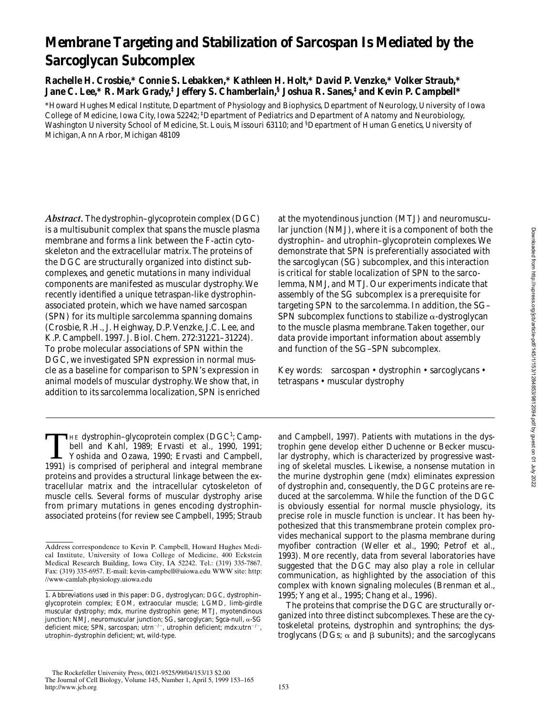# **Membrane Targeting and Stabilization of Sarcospan Is Mediated by the Sarcoglycan Subcomplex**

**Rachelle H. Crosbie,\* Connie S. Lebakken,\* Kathleen H. Holt,\* David P. Venzke,\* Volker Straub,\* Jane C. Lee,\* R. Mark Grady,‡ Jeffery S. Chamberlain,§ Joshua R. Sanes,‡ and Kevin P. Campbell\***

\*Howard Hughes Medical Institute, Department of Physiology and Biophysics, Department of Neurology, University of Iowa College of Medicine, Iowa City, Iowa 52242; ‡ Department of Pediatrics and Department of Anatomy and Neurobiology, Washington University School of Medicine, St. Louis, Missouri 63110; and <sup>§</sup>Department of Human Genetics, University of Michigan, Ann Arbor, Michigan 48109

*Abstract.* The dystrophin–glycoprotein complex (DGC) is a multisubunit complex that spans the muscle plasma membrane and forms a link between the F-actin cytoskeleton and the extracellular matrix. The proteins of the DGC are structurally organized into distinct subcomplexes, and genetic mutations in many individual components are manifested as muscular dystrophy. We recently identified a unique tetraspan-like dystrophinassociated protein, which we have named sarcospan (SPN) for its multiple sarcolemma spanning domains (Crosbie, R.H., J. Heighway, D.P. Venzke, J.C. Lee, and K.P. Campbell. 1997. *J*. *Biol*. *Chem*. 272:31221–31224). To probe molecular associations of SPN within the DGC, we investigated SPN expression in normal muscle as a baseline for comparison to SPN's expression in animal models of muscular dystrophy. We show that, in addition to its sarcolemma localization, SPN is enriched

THE dystrophin–glycoprotein complex (DGC<sup>1</sup>; Campbell and Kahl, 1989; Ervasti et al., 1990, 1991; Yoshida and Ozawa, 1990; Ervasti and Campbell, 1991) is comprised of peripheral and integral membrane THE dystrophin-glycoprotein complex (DGC<sup>1</sup>; Campbell and Kahl, 1989; Ervasti et al., 1990, 1991; 1991) is comprised of peripheral and integral membrane proteins and provides a structural linkage between the extracellular matrix and the intracellular cytoskeleton of muscle cells. Several forms of muscular dystrophy arise from primary mutations in genes encoding dystrophinassociated proteins (for review see Campbell, 1995; Straub at the myotendinous junction (MTJ) and neuromuscular junction (NMJ), where it is a component of both the dystrophin– and utrophin–glycoprotein complexes. We demonstrate that SPN is preferentially associated with the sarcoglycan (SG) subcomplex, and this interaction is critical for stable localization of SPN to the sarcolemma, NMJ, and MTJ. Our experiments indicate that assembly of the SG subcomplex is a prerequisite for targeting SPN to the sarcolemma. In addition, the SG– SPN subcomplex functions to stabilize  $\alpha$ -dystroglycan to the muscle plasma membrane. Taken together, our data provide important information about assembly and function of the SG–SPN subcomplex.

Key words: sarcospan • dystrophin • sarcoglycans • tetraspans • muscular dystrophy

and Campbell, 1997). Patients with mutations in the dystrophin gene develop either Duchenne or Becker muscular dystrophy, which is characterized by progressive wasting of skeletal muscles. Likewise, a nonsense mutation in the murine dystrophin gene (*mdx*) eliminates expression of dystrophin and, consequently, the DGC proteins are reduced at the sarcolemma. While the function of the DGC is obviously essential for normal muscle physiology, its precise role in muscle function is unclear. It has been hypothesized that this transmembrane protein complex provides mechanical support to the plasma membrane during myofiber contraction (Weller et al., 1990; Petrof et al., 1993). More recently, data from several laboratories have suggested that the DGC may also play a role in cellular communication, as highlighted by the association of this complex with known signaling molecules (Brenman et al., 1995; Yang et al., 1995; Chang et al., 1996).

The proteins that comprise the DGC are structurally organized into three distinct subcomplexes. These are the cytoskeletal proteins, dystrophin and syntrophins; the dystroglycans (DGs;  $\alpha$  and  $\beta$  subunits); and the sarcoglycans

Address correspondence to Kevin P. Campbell, Howard Hughes Medical Institute, University of Iowa College of Medicine, 400 Eckstein Medical Research Building, Iowa City, IA 52242. Tel.: (319) 335-7867. Fax: (319) 335-6957. E-mail: kevin-campbell@uiowa.edu WWW site: http: //www-camlab.physiology.uiowa.edu

<sup>1.</sup> *Abbreviations used in this paper:* DG, dystroglycan; DGC, dystrophin– glycoprotein complex; EOM, extraocular muscle; LGMD, limb-girdle muscular dystrophy; *mdx*, murine dystrophin gene; MTJ, myotendinous junction; NMJ, neuromuscular junction; SG, sarcoglycan; Sgca-null, a-SG deficient mice; SPN, sarcospan; utrn<sup>-/-</sup>, utrophin deficient;  $mdx$ :utrn<sup>-/-</sup>, utrophin–dystrophin deficient; wt, wild-type.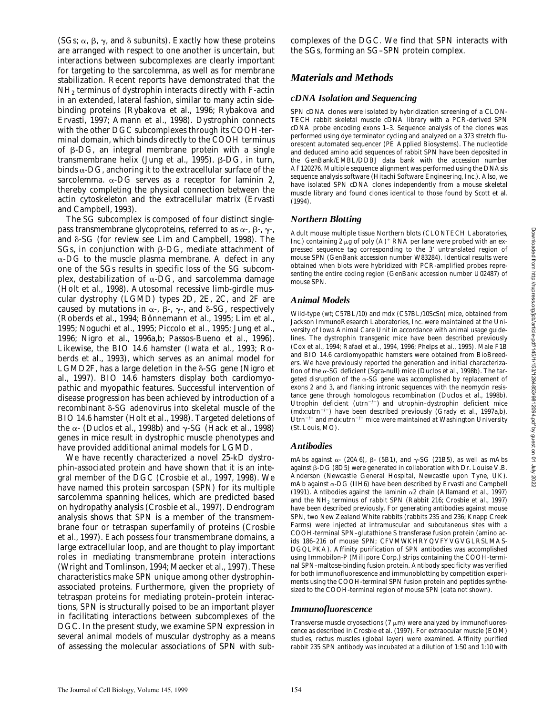(SGs;  $\alpha$ ,  $\beta$ ,  $\gamma$ , and  $\delta$  subunits). Exactly how these proteins are arranged with respect to one another is uncertain, but interactions between subcomplexes are clearly important for targeting to the sarcolemma, as well as for membrane stabilization. Recent reports have demonstrated that the NH2 terminus of dystrophin interacts directly with F-actin in an extended, lateral fashion, similar to many actin sidebinding proteins (Rybakova et al., 1996; Rybakova and Ervasti, 1997; Amann et al., 1998). Dystrophin connects with the other DGC subcomplexes through its COOH-terminal domain, which binds directly to the COOH terminus of  $\beta$ -DG, an integral membrane protein with a single transmembrane helix (Jung et al., 1995).  $\beta$ -DG, in turn, binds  $\alpha$ -DG, anchoring it to the extracellular surface of the sarcolemma.  $\alpha$ -DG serves as a receptor for laminin 2, thereby completing the physical connection between the actin cytoskeleton and the extracellular matrix (Ervasti and Campbell, 1993).

The SG subcomplex is composed of four distinct singlepass transmembrane glycoproteins, referred to as  $\alpha$ -,  $\beta$ -,  $\gamma$ -, and  $\delta$ -SG (for review see Lim and Campbell, 1998). The SGs, in conjunction with  $\beta$ -DG, mediate attachment of  $\alpha$ -DG to the muscle plasma membrane. A defect in any one of the SGs results in specific loss of the SG subcomplex, destabilization of  $\alpha$ -DG, and sarcolemma damage (Holt et al., 1998). Autosomal recessive limb-girdle muscular dystrophy (LGMD) types 2D, 2E, 2C, and 2F are caused by mutations in  $\alpha$ -,  $\beta$ -,  $\gamma$ -, and  $\delta$ -SG, respectively (Roberds et al., 1994; Bönnemann et al., 1995; Lim et al., 1995; Noguchi et al., 1995; Piccolo et al., 1995; Jung et al., 1996; Nigro et al., 1996a,b; Passos-Bueno et al., 1996). Likewise, the BIO 14.6 hamster (Iwata et al., 1993; Roberds et al., 1993), which serves as an animal model for LGMD2F, has a large deletion in the  $\delta$ -SG gene (Nigro et al., 1997). BIO 14.6 hamsters display both cardiomyopathic and myopathic features. Successful intervention of disease progression has been achieved by introduction of a recombinant δ-SG adenovirus into skeletal muscle of the BIO 14.6 hamster (Holt et al., 1998). Targeted deletions of the  $\alpha$ - (Duclos et al., 1998b) and  $\gamma$ -SG (Hack et al., 1998) genes in mice result in dystrophic muscle phenotypes and have provided additional animal models for LGMD.

We have recently characterized a novel 25-kD dystrophin-associated protein and have shown that it is an integral member of the DGC (Crosbie et al., 1997, 1998). We have named this protein sarcospan (SPN) for its multiple sarcolemma spanning helices, which are predicted based on hydropathy analysis (Crosbie et al., 1997). Dendrogram analysis shows that SPN is a member of the transmembrane four or tetraspan superfamily of proteins (Crosbie et al., 1997). Each possess four transmembrane domains, a large extracellular loop, and are thought to play important roles in mediating transmembrane protein interactions (Wright and Tomlinson, 1994; Maecker et al., 1997). These characteristics make SPN unique among other dystrophinassociated proteins. Furthermore, given the propriety of tetraspan proteins for mediating protein–protein interactions, SPN is structurally poised to be an important player in facilitating interactions between subcomplexes of the DGC. In the present study, we examine SPN expression in several animal models of muscular dystrophy as a means of assessing the molecular associations of SPN with subcomplexes of the DGC. We find that SPN interacts with the SGs, forming an SG–SPN protein complex.

## *Materials and Methods*

## *cDNA Isolation and Sequencing*

SPN cDNA clones were isolated by hybridization screening of a CLON-TECH rabbit skeletal muscle cDNA library with a PCR-derived SPN cDNA probe encoding exons 1–3. Sequence analysis of the clones was performed using dye terminator cycling and analyzed on a 373 stretch fluorescent automated sequencer (PE Applied Biosystems). The nucleotide and deduced amino acid sequences of rabbit SPN have been deposited in the GenBank/EMBL/DDBJ data bank with the accession number AF120276. Multiple sequence alignment was performed using the DNAsis sequence analysis software (Hitachi Software Engineering, Inc.). Also, we have isolated SPN cDNA clones independently from a mouse skeletal muscle library and found clones identical to those found by Scott et al. (1994).

## *Northern Blotting*

Adult mouse multiple tissue Northern blots (CLONTECH Laboratories, Inc.) containing 2  $\mu$ g of poly (A)<sup>+</sup> RNA per lane were probed with an expressed sequence tag corresponding to the 3' untranslated region of mouse SPN (GenBank accession number W83284). Identical results were obtained when blots were hybridized with PCR-amplified probes representing the entire coding region (GenBank accession number U02487) of mouse SPN.

## *Animal Models*

Wild-type (wt; C57BL/10) and *mdx* (C57BL/10ScSn) mice, obtained from Jackson ImmunoResearch Laboratories, Inc. were maintained at the University of Iowa Animal Care Unit in accordance with animal usage guidelines. The dystrophin transgenic mice have been described previously (Cox et al., 1994; Rafael et al., 1994, 1996; Phelps et al., 1995). Male F1B and BIO 14.6 cardiomyopathic hamsters were obtained from BioBreeders. We have previously reported the generation and initial characterization of the a-SG deficient (Sgca-null) mice (Duclos et al., 1998b). The targeted disruption of the  $\alpha$ -SG gene was accomplished by replacement of exons 2 and 3, and flanking intronic sequences with the neomycin resistance gene through homologous recombination (Duclos et al., 1998b). Utrophin deficient (utrn<sup>-/-</sup>) and utrophin-dystrophin deficient mice (*mdx*:utrn<sup>-/-</sup>) have been described previously (Grady et al., 1997a,b). Utrn<sup>-/-</sup> and  $mdx$ :utrn<sup>-/-</sup> mice were maintained at Washington University (St. Louis, MO).

## *Antibodies*

mAbs against  $\alpha$ - (20A6),  $\beta$ - (5B1), and  $\gamma$ -SG (21B5), as well as mAbs against  $\beta$ -DG (8D5) were generated in collaboration with Dr. Louise V.B. Anderson (Newcastle General Hospital, Newcastle upon Tyne, UK). mAb against  $\alpha$ -DG (IIH6) have been described by Ervasti and Campbell (1991). Antibodies against the laminin  $\alpha$ 2 chain (Allamand et al., 1997) and the  $NH<sub>2</sub>$  terminus of rabbit SPN (Rabbit 216; Crosbie et al., 1997) have been described previously. For generating antibodies against mouse SPN, two New Zealand White rabbits (rabbits 235 and 236; Knapp Creek Farms) were injected at intramuscular and subcutaneous sites with a COOH-terminal SPN–glutathione S transferase fusion protein (amino acids 186–216 of mouse SPN; CFVMWKHRYQVFYVGVGLRSLMAS-DGQLPKA). Affinity purification of SPN antibodies was accomplished using Immobilon-P (Millipore Corp.) strips containing the COOH-terminal SPN–maltose-binding fusion protein. Antibody specificity was verified for both immunofluorescence and immunoblotting by competition experiments using the COOH-terminal SPN fusion protein and peptides synthesized to the COOH-terminal region of mouse SPN (data not shown).

#### *Immunofluorescence*

Transverse muscle cryosections  $(7 \mu m)$  were analyzed by immunofluorescence as described in Crosbie et al. (1997). For extraocular muscle (EOM) studies, rectus muscles (global layer) were examined. Affinity purified rabbit 235 SPN antibody was incubated at a dilution of 1:50 and 1:10 with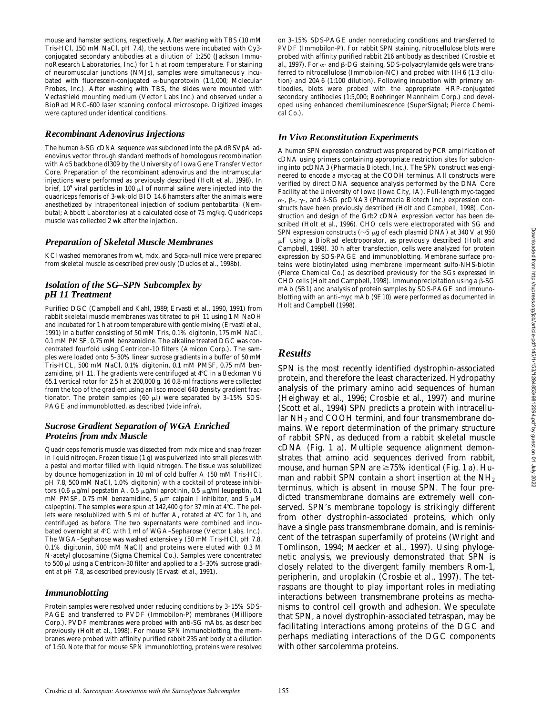mouse and hamster sections, respectively. After washing with TBS (10 mM Tris-HCl, 150 mM NaCl, pH 7.4), the sections were incubated with Cy3 conjugated secondary antibodies at a dilution of 1:250 (Jackson ImmunoResearch Laboratories, Inc.) for 1 h at room temperature. For staining of neuromuscular junctions (NMJs), samples were simultaneously incubated with fluorescein-conjugated  $\alpha$ -bungarotoxin (1:1,000; Molecular Probes, Inc.). After washing with TBS, the slides were mounted with Vectashield mounting medium (Vector Labs Inc.) and observed under a BioRad MRC-600 laser scanning confocal microscope. Digitized images were captured under identical conditions.

#### *Recombinant Adenovirus Injections*

The human  $\delta$ -SG cDNA sequence was subcloned into the pAdRSVpA adenovirus vector through standard methods of homologous recombination with Ad5 backbone dl309 by the University of Iowa Gene Transfer Vector Core. Preparation of the recombinant adenovirus and the intramuscular injections were performed as previously described (Holt et al., 1998). In brief,  $10^9$  viral particles in 100  $\mu$ l of normal saline were injected into the quadriceps femoris of 3-wk-old BIO 14.6 hamsters after the animals were anesthetized by intraperitoneal injection of sodium pentobartital (Nembutal; Abbott Laboratories) at a calculated dose of 75 mg/kg. Quadriceps muscle was collected 2 wk after the injection.

#### *Preparation of Skeletal Muscle Membranes*

KCl washed membranes from wt, *mdx*, and Sgca-null mice were prepared from skeletal muscle as described previously (Duclos et al., 1998b).

#### *Isolation of the SG–SPN Subcomplex by pH 11 Treatment*

Purified DGC (Campbell and Kahl, 1989; Ervasti et al., 1990, 1991) from rabbit skeletal muscle membranes was titrated to pH 11 using 1 M NaOH and incubated for 1 h at room temperature with gentle mixing (Ervasti et al., 1991) in a buffer consisting of 50 mM Tris, 0.1% digitonin, 175 mM NaCl, 0.1 mM PMSF, 0.75 mM benzamidine. The alkaline treated DGC was concentrated fourfold using Centricon-10 filters (Amicon Corp.). The samples were loaded onto 5–30% linear sucrose gradients in a buffer of 50 mM Tris-HCL, 500 mM NaCl, 0.1% digitonin, 0.1 mM PMSF, 0.75 mM benzamidine, pH 11. The gradients were centrifuged at  $4^{\circ}$ C in a Beckman Vti 65.1 vertical rotor for 2.5 h at 200,000 *g*. 16 0.8-ml fractions were collected from the top of the gradient using an Isco model 640 density gradient fractionator. The protein samples (60  $\mu$ l) were separated by 3-15% SDS-PAGE and immunoblotted, as described (vide infra).

## *Sucrose Gradient Separation of WGA Enriched Proteins from mdx Muscle*

Quadriceps femoris muscle was dissected from *mdx* mice and snap frozen in liquid nitrogen. Frozen tissue (1 g) was pulverized into small pieces with a pestal and mortar filled with liquid nitrogen. The tissue was solubilized by dounce homogenization in 10 ml of cold buffer A (50 mM Tris-HCl, pH 7.8, 500 mM NaCl, 1.0% digitonin) with a cocktail of protease inhibitors (0.6  $\mu$ g/ml pepstatin A, 0.5  $\mu$ g/ml aprotinin, 0.5  $\mu$ g/ml leupeptin, 0.1 mM PMSF, 0.75 mM benzamidine, 5  $\mu$ m calpain I inhibitor, and 5  $\mu$ M calpeptin). The samples were spun at 142,400  $g$  for 37 min at 4°C. The pellets were resolublized with 5 ml of buffer A, rotated at 4°C for 1 h, and centrifuged as before. The two supernatants were combined and incubated overnight at 4°C with 1 ml of WGA-Sepharose (Vector Labs, Inc.). The WGA–Sepharose was washed extensively (50 mM Tris-HCl, pH 7.8, 0.1% digitonin, 500 mM NaCl) and proteins were eluted with 0.3 M N-acetyl glucosamine (Sigma Chemical Co.). Samples were concentrated to 500  $\mu$ l using a Centricon-30 filter and applied to a 5-30% sucrose gradient at pH 7.8, as described previously (Ervasti et al., 1991).

#### *Immunoblotting*

Protein samples were resolved under reducing conditions by 3–15% SDS-PAGE and transferred to PVDF (Immobilon-P) membranes (Millipore Corp.). PVDF membranes were probed with anti-SG mAbs, as described previously (Holt et al., 1998). For mouse SPN immunoblotting, the membranes were probed with affinity purified rabbit 235 antibody at a dilution of 1:50. Note that for mouse SPN immunoblotting, proteins were resolved

on 3–15% SDS-PAGE under nonreducing conditions and transferred to PVDF (Immobilon-P). For rabbit SPN staining, nitrocellulose blots were probed with affinity purified rabbit 216 antibody as described (Crosbie et al., 1997). For  $\alpha$  - and  $\beta$  -DG staining, SDS-polyacrylamide gels were transferred to nitrocellulose (Immobilon-NC) and probed with IIH6 (1:3 dilution) and 20A6 (1:100 dilution). Following incubation with primary antibodies, blots were probed with the appropriate HRP-conjugated secondary antibodies (1:5,000; Boehringer Mannheim Corp.) and developed using enhanced chemiluminescence (SuperSignal; Pierce Chemical Co.).

## *In Vivo Reconstitution Experiments*

A human SPN expression construct was prepared by PCR amplification of cDNA using primers containing appropriate restriction sites for subcloning into pcDNA3 (Pharmacia Biotech, Inc.). The SPN construct was engineered to encode a myc-tag at the COOH terminus. All constructs were verified by direct DNA sequence analysis performed by the DNA Core Facility at the University of Iowa (Iowa City, IA). Full-length myc-tagged  $\alpha$ -,  $\beta$ -,  $\gamma$ -, and  $\delta$ -SG pcDNA3 (Pharmacia Biotech Inc.) expression constructs have been previously described (Holt and Campbell, 1998). Construction and design of the Grb2 cDNA expression vector has been described (Holt et al., 1996). CHO cells were electroporated with SG and SPN expression constructs ( $\sim$ 5  $\mu$ g of each plasmid DNA) at 340 V at 950  $\mu$ F using a BioRad electroporator, as previously described (Holt and Campbell, 1998). 30 h after transfection, cells were analyzed for protein expression by SDS-PAGE and immunoblotting. Membrane surface proteins were biotinylated using membrane impermeant sulfo-NHS-biotin (Pierce Chemical Co.) as described previously for the SGs expressed in CHO cells (Holt and Campbell, 1998). Immunoprecipitation using a  $\beta$ -SG mAb (5B1) and analysis of protein samples by SDS-PAGE and immunoblotting with an anti-myc mAb (9E10) were performed as documented in Holt and Campbell (1998).

## *Results*

SPN is the most recently identified dystrophin-associated protein, and therefore the least characterized. Hydropathy analysis of the primary amino acid sequences of human (Heighway et al., 1996; Crosbie et al., 1997) and murine (Scott et al., 1994) SPN predicts a protein with intracellular NH<sub>2</sub> and COOH termini, and four transmembrane domains. We report determination of the primary structure of rabbit SPN, as deduced from a rabbit skeletal muscle cDNA (Fig. 1 a). Multiple sequence alignment demonstrates that amino acid sequences derived from rabbit, mouse, and human SPN are  $\geq$ 75% identical (Fig. 1 a). Human and rabbit SPN contain a short insertion at the NH<sub>2</sub> terminus, which is absent in mouse SPN. The four predicted transmembrane domains are extremely well conserved. SPN's membrane topology is strikingly different from other dystrophin-associated proteins, which only have a single pass transmembrane domain, and is reminiscent of the tetraspan superfamily of proteins (Wright and Tomlinson, 1994; Maecker et al., 1997). Using phylogenetic analysis, we previously demonstrated that SPN is closely related to the divergent family members Rom-1, peripherin, and uroplakin (Crosbie et al., 1997). The tetraspans are thought to play important roles in mediating interactions between transmembrane proteins as mechanisms to control cell growth and adhesion. We speculate that SPN, a novel dystrophin-associated tetraspan, may be facilitating interactions among proteins of the DGC and perhaps mediating interactions of the DGC components with other sarcolemma proteins.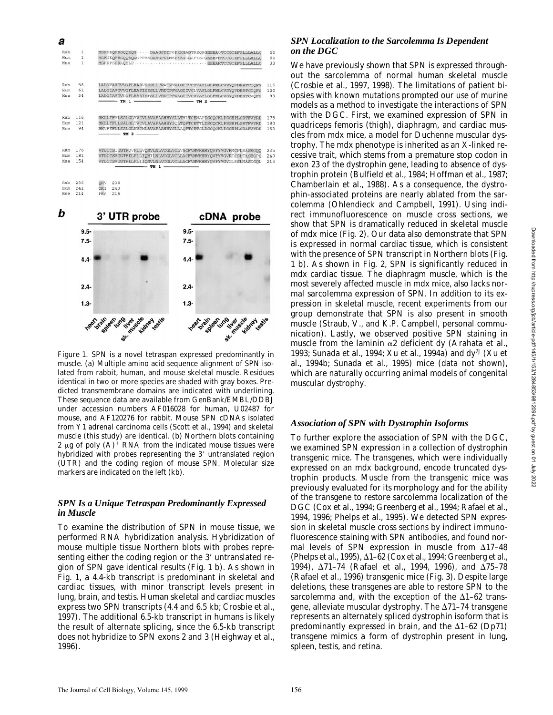|            | $9.5 -$      |                                                                                                                              |              | cDNA probe<br>$9.5 -$                                        |            |
|------------|--------------|------------------------------------------------------------------------------------------------------------------------------|--------------|--------------------------------------------------------------|------------|
| b          |              |                                                                                                                              | 3' UTR probe |                                                              |            |
| Mse        | 214          | <b>PKA</b><br>216                                                                                                            |              |                                                              |            |
| Hum        | 241          | 243<br>OKI                                                                                                                   |              |                                                              |            |
| Rab        | 236          | OKV<br>238                                                                                                                   |              |                                                              |            |
|            |              |                                                                                                                              |              |                                                              | 213        |
| Hum<br>Mse | 181<br>154   | VTDCTSVTGTFKLFLLIOMILNLVCGLVCLLACFVMWKHRYOVFYVGVRICSLTASEGPO<br>VTDCTSVTGTFKLFLIIOMVLNLVCGLVCLLACFVMWKHRYOVFYVGVGLRSLMASDGOL |              |                                                              |            |
| Rab        | 176          | VTDCTSITGTFOVFLLVOMVLMLVCGLVCLVACFVMWKHRYOVFYVGVRMCPLSASEGOO                                                                 |              |                                                              | 235<br>240 |
| Mse        | 94           |                                                                                                                              | $TM 3$ —     |                                                              | 153        |
| Hum        | 121          | MKLLYFLLSALGLTVCVLAVAFAAHHYSOLTOFTCETTLDSCOCKLPSSEPLSRTFVYRD<br>MKVFYFLLSALGLMVCMLAVAFAAHHYSLLAOFTCETSLDSCOCKLPSSEPLSRAFVYRD |              |                                                              | 180        |
| Rab        | 116          | MKLLYFVLSALGLVVCVLAVAFAAHHYSLLTHLTCENAPDSCOCKLPSSEPLSRTFVYRD                                                                 |              |                                                              | 175        |
| Mse        | 34           | LALGIAVTVLGFLMASISPSLLVRDTPFWAGIIVCVVAYLGLFMLCVSYQVDERTCVQFS<br>$-$ TM 1 $-$<br>$-$ TM $2$ $-$                               |              |                                                              |            |
| Hum        | 61           | LALGIAVTVVGFLMASISSSLLVRDTPFWAGIIVCLVAYLGLFMLCVSYOVDERTCIOFS                                                                 |              |                                                              | 120        |
| Rab        | 56           |                                                                                                                              |              | LALGVAVTVVGFLMASVSSSLLVRATPYWAGIIVCVVAYLGLFMLCVSYOVDERTCIOFS | 115        |
| Mse        | $\mathbf{1}$ |                                                                                                                              |              | MGRKPSPRAQELPBEEARTCCGCRFPLLLALLO                            | 33         |
|            | $\mathbf{1}$ | MGKNKOPRGOOROGGPPAADAAGPDDMEPKKGTGAPKECGEEEPRTCCGCRFPLLLALLO                                                                 |              |                                                              | 60         |
| Hum        |              | MGKDROPRGOOROG ······ DAAGPDDPGPKKGAGTREORGEEEAOTCCGCRFPLLLALLO                                                              |              |                                                              | 55         |



*Figure 1*. SPN is a novel tetraspan expressed predominantly in muscle. (a) Multiple amino acid sequence alignment of SPN isolated from rabbit, human, and mouse skeletal muscle. Residues identical in two or more species are shaded with gray boxes. Predicted transmembrane domains are indicated with underlining. These sequence data are available from GenBank/EMBL/DDBJ under accession numbers AF016028 for human, U02487 for mouse, and AF120276 for rabbit. Mouse SPN cDNAs isolated from Y1 adrenal carcinoma cells (Scott et al., 1994) and skeletal muscle (this study) are identical. (b) Northern blots containing 2  $\mu$ g of poly (A)<sup>+</sup> RNA from the indicated mouse tissues were hybridized with probes representing the 3' untranslated region (UTR) and the coding region of mouse SPN. Molecular size markers are indicated on the left (kb).

## *SPN Is a Unique Tetraspan Predominantly Expressed in Muscle*

To examine the distribution of SPN in mouse tissue, we performed RNA hybridization analysis. Hybridization of mouse multiple tissue Northern blots with probes representing either the coding region or the 3' untranslated region of SPN gave identical results (Fig. 1 b). As shown in Fig. 1, a 4.4-kb transcript is predominant in skeletal and cardiac tissues, with minor transcript levels present in lung, brain, and testis. Human skeletal and cardiac muscles express two SPN transcripts (4.4 and 6.5 kb; Crosbie et al., 1997). The additional 6.5-kb transcript in humans is likely the result of alternate splicing, since the 6.5-kb transcript does not hybridize to SPN exons 2 and 3 (Heighway et al., 1996).

## *SPN Localization to the Sarcolemma Is Dependent on the DGC*

We have previously shown that SPN is expressed throughout the sarcolemma of normal human skeletal muscle (Crosbie et al., 1997, 1998). The limitations of patient biopsies with known mutations prompted our use of murine models as a method to investigate the interactions of SPN with the DGC. First, we examined expression of SPN in quadriceps femoris (thigh), diaphragm, and cardiac muscles from *mdx* mice, a model for Duchenne muscular dystrophy. The *mdx* phenotype is inherited as an X-linked recessive trait, which stems from a premature stop codon in exon 23 of the dystrophin gene, leading to absence of dystrophin protein (Bulfield et al., 1984; Hoffman et al., 1987; Chamberlain et al., 1988). As a consequence, the dystrophin-associated proteins are nearly ablated from the sarcolemma (Ohlendieck and Campbell, 1991). Using indirect immunofluorescence on muscle cross sections, we show that SPN is dramatically reduced in skeletal muscle of *mdx* mice (Fig. 2). Our data also demonstrate that SPN is expressed in normal cardiac tissue, which is consistent with the presence of SPN transcript in Northern blots (Fig. 1 b). As shown in Fig. 2, SPN is significantly reduced in *mdx* cardiac tissue. The diaphragm muscle, which is the most severely affected muscle in *mdx* mice, also lacks normal sarcolemma expression of SPN. In addition to its expression in skeletal muscle, recent experiments from our group demonstrate that SPN is also present in smooth muscle (Straub, V., and K.P. Campbell, personal communication). Lastly, we observed positive SPN staining in muscle from the laminin  $\alpha$ 2 deficient *dy* (Arahata et al., 1993; Sunada et al., 1994; Xu et al., 1994a) and *dy2J* (Xu et al., 1994b; Sunada et al., 1995) mice (data not shown), which are naturally occurring animal models of congenital muscular dystrophy.

## *Association of SPN with Dystrophin Isoforms*

To further explore the association of SPN with the DGC, we examined SPN expression in a collection of dystrophin transgenic mice. The transgenes, which were individually expressed on an *mdx* background, encode truncated dystrophin products. Muscle from the transgenic mice was previously evaluated for its morphology and for the ability of the transgene to restore sarcolemma localization of the DGC (Cox et al., 1994; Greenberg et al., 1994; Rafael et al., 1994, 1996; Phelps et al., 1995). We detected SPN expression in skeletal muscle cross sections by indirect immunofluorescence staining with SPN antibodies, and found normal levels of SPN expression in muscle from  $\Delta$ 17-48 (Phelps et al., 1995),  $\Delta$ 1–62 (Cox et al., 1994; Greenberg et al., 1994),  $\Delta$ 71-74 (Rafael et al., 1994, 1996), and  $\Delta$ 75-78 (Rafael et al., 1996) transgenic mice (Fig. 3). Despite large deletions, these transgenes are able to restore SPN to the sarcolemma and, with the exception of the  $\Delta1-62$  transgene, alleviate muscular dystrophy. The  $\Delta$ 71–74 transgene represents an alternately spliced dystrophin isoform that is predominantly expressed in brain, and the  $\Delta1-62$  (Dp71) transgene mimics a form of dystrophin present in lung, spleen, testis, and retina.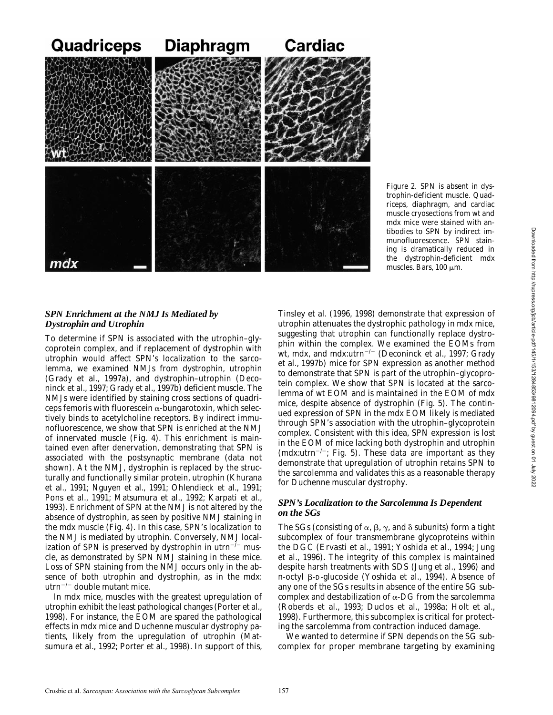

*Figure 2*. SPN is absent in dystrophin-deficient muscle. Quadriceps, diaphragm, and cardiac muscle cryosections from wt and *mdx* mice were stained with antibodies to SPN by indirect immunofluorescence. SPN staining is dramatically reduced in the dystrophin-deficient *mdx* muscles. Bars,  $100 \mu m$ .

## *SPN Enrichment at the NMJ Is Mediated by Dystrophin and Utrophin*

To determine if SPN is associated with the utrophin–glycoprotein complex, and if replacement of dystrophin with utrophin would affect SPN's localization to the sarcolemma, we examined NMJs from dystrophin, utrophin (Grady et al., 1997a), and dystrophin–utrophin (Deconinck et al., 1997; Grady et al., 1997b) deficient muscle. The NMJs were identified by staining cross sections of quadriceps femoris with fluorescein  $\alpha$ -bungarotoxin, which selectively binds to acetylcholine receptors. By indirect immunofluorescence, we show that SPN is enriched at the NMJ of innervated muscle (Fig. 4). This enrichment is maintained even after denervation, demonstrating that SPN is associated with the postsynaptic membrane (data not shown). At the NMJ, dystrophin is replaced by the structurally and functionally similar protein, utrophin (Khurana et al., 1991; Nguyen et al., 1991; Ohlendieck et al., 1991; Pons et al., 1991; Matsumura et al., 1992; Karpati et al., 1993). Enrichment of SPN at the NMJ is not altered by the absence of dystrophin, as seen by positive NMJ staining in the *mdx* muscle (Fig. 4). In this case, SPN's localization to the NMJ is mediated by utrophin. Conversely, NMJ localization of SPN is preserved by dystrophin in  $utrn^{-/-}$  muscle, as demonstrated by SPN NMJ staining in these mice. Loss of SPN staining from the NMJ occurs only in the absence of both utrophin and dystrophin, as in the *mdx*:  $utrn^{-/-}$  double mutant mice.

In *mdx* mice, muscles with the greatest upregulation of utrophin exhibit the least pathological changes (Porter et al., 1998). For instance, the EOM are spared the pathological effects in *mdx* mice and Duchenne muscular dystrophy patients, likely from the upregulation of utrophin (Matsumura et al., 1992; Porter et al., 1998). In support of this, Tinsley et al. (1996, 1998) demonstrate that expression of utrophin attenuates the dystrophic pathology in *mdx* mice, suggesting that utrophin can functionally replace dystrophin within the complex. We examined the EOMs from wt, *mdx*, and *mdx*:utrn<sup>-/-</sup> (Deconinck et al., 1997; Grady et al., 1997b) mice for SPN expression as another method to demonstrate that SPN is part of the utrophin–glycoprotein complex. We show that SPN is located at the sarcolemma of wt EOM and is maintained in the EOM of *mdx* mice, despite absence of dystrophin (Fig. 5). The continued expression of SPN in the *mdx* EOM likely is mediated through SPN's association with the utrophin–glycoprotein complex. Consistent with this idea, SPN expression is lost in the EOM of mice lacking both dystrophin and utrophin ( $mdx$ :utrn<sup>-/-</sup>; Fig. 5). These data are important as they demonstrate that upregulation of utrophin retains SPN to the sarcolemma and validates this as a reasonable therapy for Duchenne muscular dystrophy.

## *SPN's Localization to the Sarcolemma Is Dependent on the SGs*

The SGs (consisting of  $\alpha$ ,  $\beta$ ,  $\gamma$ , and  $\delta$  subunits) form a tight subcomplex of four transmembrane glycoproteins within the DGC (Ervasti et al., 1991; Yoshida et al., 1994; Jung et al., 1996). The integrity of this complex is maintained despite harsh treatments with SDS (Jung et al., 1996) and *n*-octyl β-D-glucoside (Yoshida et al., 1994). Absence of any one of the SGs results in absence of the entire SG subcomplex and destabilization of  $\alpha$ -DG from the sarcolemma (Roberds et al., 1993; Duclos et al., 1998a; Holt et al., 1998). Furthermore, this subcomplex is critical for protecting the sarcolemma from contraction induced damage.

We wanted to determine if SPN depends on the SG subcomplex for proper membrane targeting by examining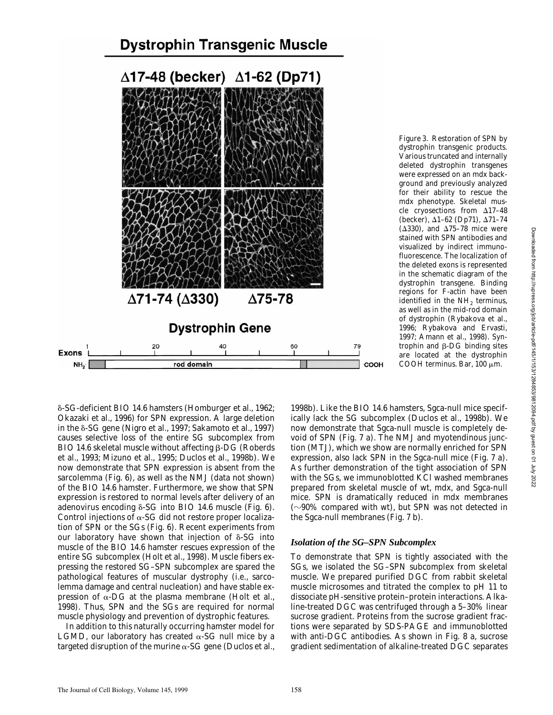## **Dystrophin Transgenic Muscle**



dystrophin transgenic products. Various truncated and internally deleted dystrophin transgenes were expressed on an *mdx* background and previously analyzed for their ability to rescue the *mdx* phenotype. Skeletal muscle cryosections from  $\Delta$ 17–48 (becker), Δ1-62 (Dp71), Δ71-74  $(\Delta 330)$ , and  $\Delta 75$ –78 mice were stained with SPN antibodies and visualized by indirect immunofluorescence. The localization of the deleted exons is represented in the schematic diagram of the dystrophin transgene. Binding regions for F-actin have been identified in the  $NH<sub>2</sub>$  terminus, as well as in the mid-rod domain of dystrophin (Rybakova et al., 1996; Rybakova and Ervasti, 1997; Amann et al., 1998). Syntrophin and  $\beta$ -DG binding sites are located at the dystrophin COOH terminus. Bar, 100  $\mu$ m.

*Figure 3*. Restoration of SPN by

d-SG-deficient BIO 14.6 hamsters (Homburger et al., 1962; Okazaki et al., 1996) for SPN expression. A large deletion in the  $\delta$ -SG gene (Nigro et al., 1997; Sakamoto et al., 1997) causes selective loss of the entire SG subcomplex from BIO 14.6 skeletal muscle without affecting  $\beta$ -DG (Roberds et al., 1993; Mizuno et al., 1995; Duclos et al., 1998b). We now demonstrate that SPN expression is absent from the sarcolemma (Fig. 6), as well as the NMJ (data not shown) of the BIO 14.6 hamster. Furthermore, we show that SPN expression is restored to normal levels after delivery of an adenovirus encoding  $\delta$ -SG into BIO 14.6 muscle (Fig. 6). Control injections of  $\alpha$ -SG did not restore proper localization of SPN or the SGs (Fig. 6). Recent experiments from our laboratory have shown that injection of  $\delta$ -SG into muscle of the BIO 14.6 hamster rescues expression of the entire SG subcomplex (Holt et al., 1998). Muscle fibers expressing the restored SG–SPN subcomplex are spared the pathological features of muscular dystrophy (i.e., sarcolemma damage and central nucleation) and have stable expression of  $\alpha$ -DG at the plasma membrane (Holt et al., 1998). Thus, SPN and the SGs are required for normal muscle physiology and prevention of dystrophic features.

In addition to this naturally occurring hamster model for LGMD, our laboratory has created  $\alpha$ -SG null mice by a targeted disruption of the murine  $\alpha$ -SG gene (Duclos et al.,

1998b). Like the BIO 14.6 hamsters, Sgca-null mice specifically lack the SG subcomplex (Duclos et al., 1998b). We now demonstrate that Sgca-null muscle is completely devoid of SPN (Fig. 7 a). The NMJ and myotendinous junction (MTJ), which we show are normally enriched for SPN expression, also lack SPN in the Sgca-null mice (Fig. 7 a). As further demonstration of the tight association of SPN with the SGs, we immunoblotted KCl washed membranes prepared from skeletal muscle of wt, *mdx*, and Sgca-null mice. SPN is dramatically reduced in *mdx* membranes  $(\sim)90\%$  compared with wt), but SPN was not detected in the Sgca-null membranes (Fig. 7 b).

#### *Isolation of the SG–SPN Subcomplex*

To demonstrate that SPN is tightly associated with the SGs, we isolated the SG–SPN subcomplex from skeletal muscle. We prepared purified DGC from rabbit skeletal muscle microsomes and titrated the complex to pH 11 to dissociate pH-sensitive protein–protein interactions. Alkaline-treated DGC was centrifuged through a 5–30% linear sucrose gradient. Proteins from the sucrose gradient fractions were separated by SDS-PAGE and immunoblotted with anti-DGC antibodies. As shown in Fig. 8 a, sucrose gradient sedimentation of alkaline-treated DGC separates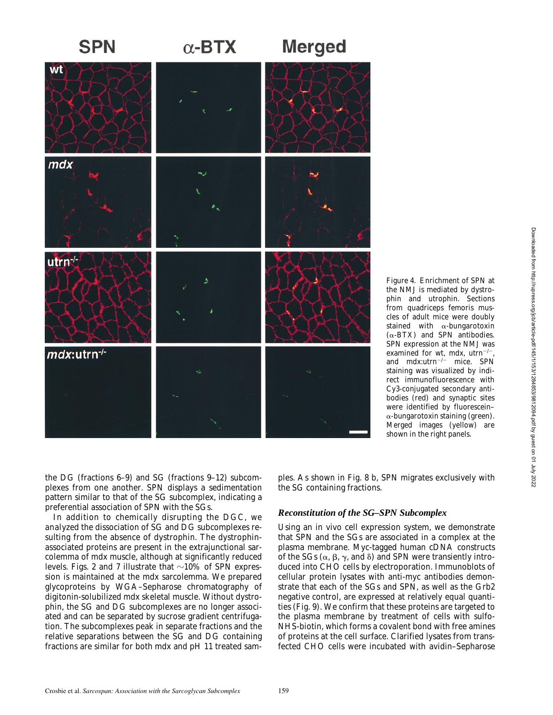

the NMJ is mediated by dystrophin and utrophin. Sections from quadriceps femoris muscles of adult mice were doubly stained with  $\alpha$ -bungarotoxin  $(\alpha$ -BTX) and SPN antibodies. SPN expression at the NMJ was examined for wt, *mdx*, utrn<sup>-/-</sup> and  $mdx$ .utrn<sup>-/-</sup> mice. SPN staining was visualized by indirect immunofluorescence with Cy3-conjugated secondary antibodies (red) and synaptic sites were identified by fluorescein–  $\alpha$ -bungarotoxin staining (green). Merged images (yellow) are shown in the right panels.

the DG (fractions 6–9) and SG (fractions 9–12) subcomplexes from one another. SPN displays a sedimentation pattern similar to that of the SG subcomplex, indicating a preferential association of SPN with the SGs.

In addition to chemically disrupting the DGC, we analyzed the dissociation of SG and DG subcomplexes resulting from the absence of dystrophin. The dystrophinassociated proteins are present in the extrajunctional sarcolemma of *mdx* muscle, although at significantly reduced levels. Figs. 2 and 7 illustrate that  $\sim$ 10% of SPN expression is maintained at the *mdx* sarcolemma. We prepared glycoproteins by WGA–Sepharose chromatography of digitonin-solubilized *mdx* skeletal muscle. Without dystrophin, the SG and DG subcomplexes are no longer associated and can be separated by sucrose gradient centrifugation. The subcomplexes peak in separate fractions and the relative separations between the SG and DG containing fractions are similar for both *mdx* and pH 11 treated samples. As shown in Fig. 8 b, SPN migrates exclusively with the SG containing fractions.

## *Reconstitution of the SG–SPN Subcomplex*

Using an in vivo cell expression system, we demonstrate that SPN and the SGs are associated in a complex at the plasma membrane. Myc-tagged human cDNA constructs of the SGs ( $\alpha$ ,  $\beta$ ,  $\gamma$ , and  $\delta$ ) and SPN were transiently introduced into CHO cells by electroporation. Immunoblots of cellular protein lysates with anti-myc antibodies demonstrate that each of the SGs and SPN, as well as the Grb2 negative control, are expressed at relatively equal quantities (Fig. 9). We confirm that these proteins are targeted to the plasma membrane by treatment of cells with sulfo-NHS-biotin, which forms a covalent bond with free amines of proteins at the cell surface. Clarified lysates from transfected CHO cells were incubated with avidin–Sepharose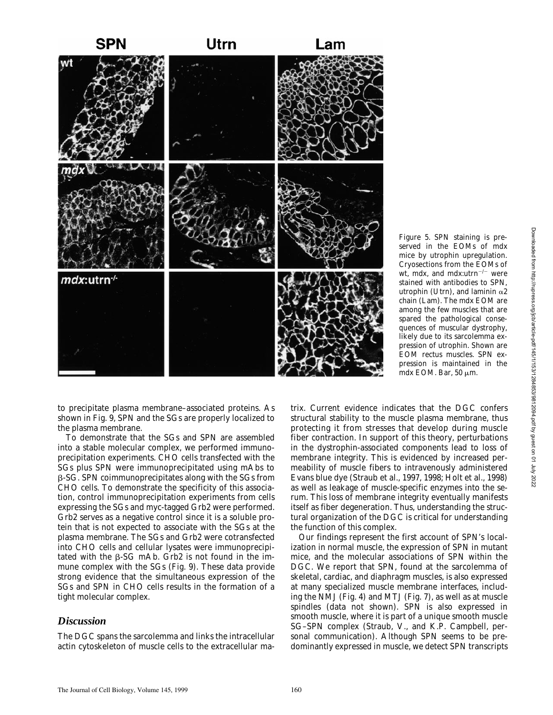

served in the EOMs of *mdx* mice by utrophin upregulation. Cryosections from the EOMs of wt, *mdx*, and *mdx*:utrn<sup>-/-</sup> were stained with antibodies to SPN, utrophin (Utrn), and laminin  $\alpha$ 2 chain (Lam). The *mdx* EOM are among the few muscles that are spared the pathological consequences of muscular dystrophy, likely due to its sarcolemma expression of utrophin. Shown are EOM rectus muscles. SPN expression is maintained in the *mdx* EOM. Bar, 50  $\mu$ m.

*Figure 5*. SPN staining is pre-

to precipitate plasma membrane–associated proteins. As shown in Fig. 9, SPN and the SGs are properly localized to the plasma membrane.

To demonstrate that the SGs and SPN are assembled into a stable molecular complex, we performed immunoprecipitation experiments. CHO cells transfected with the SGs plus SPN were immunoprecipitated using mAbs to b-SG. SPN coimmunoprecipitates along with the SGs from CHO cells. To demonstrate the specificity of this association, control immunoprecipitation experiments from cells expressing the SGs and myc-tagged Grb2 were performed. Grb2 serves as a negative control since it is a soluble protein that is not expected to associate with the SGs at the plasma membrane. The SGs and Grb2 were cotransfected into CHO cells and cellular lysates were immunoprecipitated with the  $\beta$ -SG mAb. Grb2 is not found in the immune complex with the SGs (Fig. 9). These data provide strong evidence that the simultaneous expression of the SGs and SPN in CHO cells results in the formation of a tight molecular complex.

## *Discussion*

The DGC spans the sarcolemma and links the intracellular actin cytoskeleton of muscle cells to the extracellular ma-

trix. Current evidence indicates that the DGC confers structural stability to the muscle plasma membrane, thus protecting it from stresses that develop during muscle fiber contraction. In support of this theory, perturbations in the dystrophin-associated components lead to loss of membrane integrity. This is evidenced by increased permeability of muscle fibers to intravenously administered Evans blue dye (Straub et al., 1997, 1998; Holt et al., 1998) as well as leakage of muscle-specific enzymes into the serum. This loss of membrane integrity eventually manifests itself as fiber degeneration. Thus, understanding the structural organization of the DGC is critical for understanding the function of this complex.

Our findings represent the first account of SPN's localization in normal muscle, the expression of SPN in mutant mice, and the molecular associations of SPN within the DGC. We report that SPN, found at the sarcolemma of skeletal, cardiac, and diaphragm muscles, is also expressed at many specialized muscle membrane interfaces, including the NMJ (Fig. 4) and MTJ (Fig. 7), as well as at muscle spindles (data not shown). SPN is also expressed in smooth muscle, where it is part of a unique smooth muscle SG–SPN complex (Straub, V., and K.P. Campbell, personal communication). Although SPN seems to be predominantly expressed in muscle, we detect SPN transcripts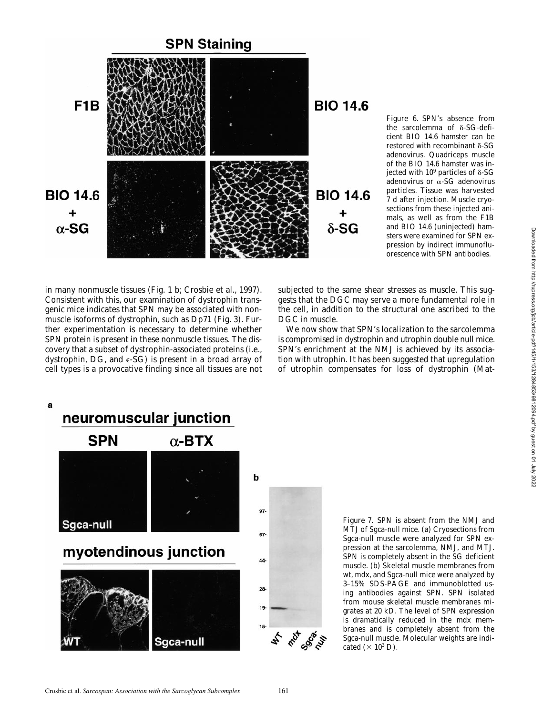

*Figure 6*. SPN's absence from the sarcolemma of  $\delta$ -SG-deficient BIO 14.6 hamster can be restored with recombinant  $\delta$ -SG adenovirus. Quadriceps muscle of the BIO 14.6 hamster was injected with  $10^9$  particles of  $\delta\text{-SG}$ adenovirus or a-SG adenovirus particles. Tissue was harvested 7 d after injection. Muscle cryosections from these injected animals, as well as from the F1B and BIO 14.6 (uninjected) hamsters were examined for SPN expression by indirect immunofluorescence with SPN antibodies.

in many nonmuscle tissues (Fig. 1 b; Crosbie et al., 1997). Consistent with this, our examination of dystrophin transgenic mice indicates that SPN may be associated with nonmuscle isoforms of dystrophin, such as Dp71 (Fig. 3). Further experimentation is necessary to determine whether SPN protein is present in these nonmuscle tissues. The discovery that a subset of dystrophin-associated proteins (i.e., dystrophin, DG, and  $\epsilon$ -SG) is present in a broad array of cell types is a provocative finding since all tissues are not subjected to the same shear stresses as muscle. This suggests that the DGC may serve a more fundamental role in the cell, in addition to the structural one ascribed to the DGC in muscle.

We now show that SPN's localization to the sarcolemma is compromised in dystrophin and utrophin double null mice. SPN's enrichment at the NMJ is achieved by its association with utrophin. It has been suggested that upregulation of utrophin compensates for loss of dystrophin (Mat-



*Figure 7*. SPN is absent from the NMJ and MTJ of Sgca-null mice. (a) Cryosections from Sgca-null muscle were analyzed for SPN expression at the sarcolemma, NMJ, and MTJ. SPN is completely absent in the SG deficient muscle. (b) Skeletal muscle membranes from wt, *mdx*, and Sgca-null mice were analyzed by 3–15% SDS-PAGE and immunoblotted using antibodies against SPN. SPN isolated from mouse skeletal muscle membranes migrates at 20 kD. The level of SPN expression is dramatically reduced in the *mdx* membranes and is completely absent from the Sgca-null muscle. Molecular weights are indicated  $(\times 10^3$  D).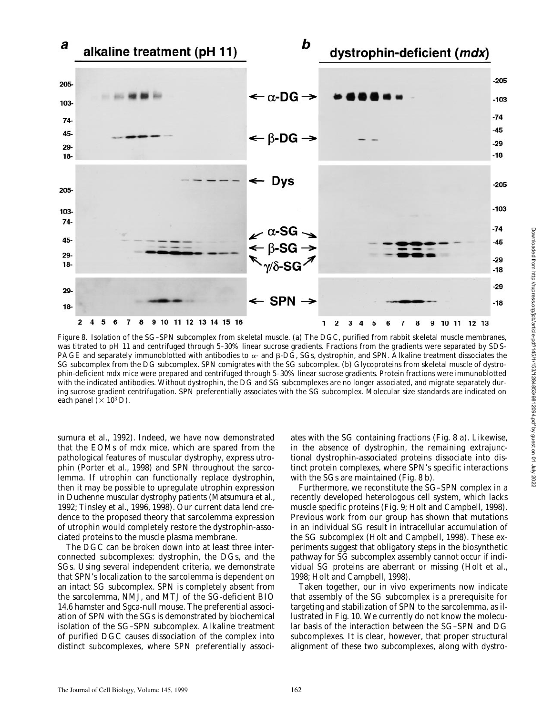

*Figure 8*. Isolation of the SG–SPN subcomplex from skeletal muscle. (a) The DGC, purified from rabbit skeletal muscle membranes, was titrated to pH 11 and centrifuged through 5–30% linear sucrose gradients. Fractions from the gradients were separated by SDS-PAGE and separately immunoblotted with antibodies to  $\alpha$ - and  $\beta$ -DG, SGs, dystrophin, and SPN. Alkaline treatment dissociates the SG subcomplex from the DG subcomplex. SPN comigrates with the SG subcomplex. (b) Glycoproteins from skeletal muscle of dystrophin-deficient *mdx* mice were prepared and centrifuged through 5–30% linear sucrose gradients. Protein fractions were immunoblotted with the indicated antibodies. Without dystrophin, the DG and SG subcomplexes are no longer associated, and migrate separately during sucrose gradient centrifugation. SPN preferentially associates with the SG subcomplex. Molecular size standards are indicated on each panel ( $\times$  10<sup>3</sup> D).

sumura et al., 1992). Indeed, we have now demonstrated that the EOMs of *mdx* mice, which are spared from the pathological features of muscular dystrophy, express utrophin (Porter et al., 1998) and SPN throughout the sarcolemma. If utrophin can functionally replace dystrophin, then it may be possible to upregulate utrophin expression in Duchenne muscular dystrophy patients (Matsumura et al., 1992; Tinsley et al., 1996, 1998). Our current data lend credence to the proposed theory that sarcolemma expression of utrophin would completely restore the dystrophin-associated proteins to the muscle plasma membrane.

The DGC can be broken down into at least three interconnected subcomplexes: dystrophin, the DGs, and the SGs. Using several independent criteria, we demonstrate that SPN's localization to the sarcolemma is dependent on an intact SG subcomplex. SPN is completely absent from the sarcolemma, NMJ, and MTJ of the SG-deficient BIO 14.6 hamster and Sgca-null mouse. The preferential association of SPN with the SGs is demonstrated by biochemical isolation of the SG–SPN subcomplex. Alkaline treatment of purified DGC causes dissociation of the complex into distinct subcomplexes, where SPN preferentially associ-

ates with the SG containing fractions (Fig. 8 a). Likewise, in the absence of dystrophin, the remaining extrajunctional dystrophin-associated proteins dissociate into distinct protein complexes, where SPN's specific interactions with the SGs are maintained (Fig. 8 b).

Furthermore, we reconstitute the SG–SPN complex in a recently developed heterologous cell system, which lacks muscle specific proteins (Fig. 9; Holt and Campbell, 1998). Previous work from our group has shown that mutations in an individual SG result in intracellular accumulation of the SG subcomplex (Holt and Campbell, 1998). These experiments suggest that obligatory steps in the biosynthetic pathway for SG subcomplex assembly cannot occur if individual SG proteins are aberrant or missing (Holt et al., 1998; Holt and Campbell, 1998).

Taken together, our in vivo experiments now indicate that assembly of the SG subcomplex is a prerequisite for targeting and stabilization of SPN to the sarcolemma, as illustrated in Fig. 10. We currently do not know the molecular basis of the interaction between the SG–SPN and DG subcomplexes. It is clear, however, that proper structural alignment of these two subcomplexes, along with dystro-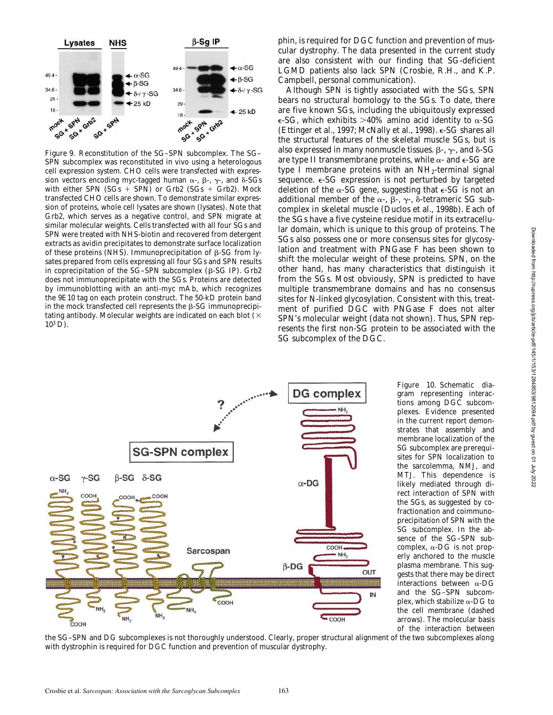

*Figure 9*. Reconstitution of the SG–SPN subcomplex. The SG– SPN subcomplex was reconstituted in vivo using a heterologous cell expression system. CHO cells were transfected with expression vectors encoding myc-tagged human  $\alpha$ -,  $\beta$ -,  $\gamma$ -, and  $\delta$ -SGs with either SPN  $(SGs + SPN)$  or Grb2  $(SGs + Grb2)$ . Mock transfected CHO cells are shown. To demonstrate similar expression of proteins, whole cell lysates are shown (lysates). Note that Grb2, which serves as a negative control, and SPN migrate at similar molecular weights. Cells transfected with all four SGs and SPN were treated with NHS-biotin and recovered from detergent extracts as avidin precipitates to demonstrate surface localization of these proteins (NHS). Immunoprecipitation of  $\beta$ -SG from lysates prepared from cells expressing all four SGs and SPN results in coprecipitation of the  $SG-SPN$  subcomplex ( $\beta$ -SG IP). Grb2 does not immunoprecipitate with the SGs. Proteins are detected by immunoblotting with an anti-myc mAb, which recognizes the 9E10 tag on each protein construct. The 50-kD protein band in the mock transfected cell represents the  $\beta$ -SG immunoprecipitating antibody. Molecular weights are indicated on each blot  $(X)$  $10^3$  D).

phin, is required for DGC function and prevention of muscular dystrophy. The data presented in the current study are also consistent with our finding that SG-deficient LGMD patients also lack SPN (Crosbie, R.H., and K.P. Campbell, personal communication).

Although SPN is tightly associated with the SGs, SPN bears no structural homology to the SGs. To date, there are five known SGs, including the ubiquitously expressed  $\epsilon$ -SG, which exhibits >40% amino acid identity to  $\alpha$ -SG (Ettinger et al., 1997; McNally et al., 1998). e-SG shares all the structural features of the skeletal muscle SGs, but is also expressed in many nonmuscle tissues.  $\beta$ -,  $\gamma$ -, and  $\delta$ -SG are type II transmembrane proteins, while  $\alpha$ - and  $\epsilon$ -SG are type I membrane proteins with an  $NH<sub>2</sub>$ -terminal signal sequence. e-SG expression is not perturbed by targeted deletion of the  $\alpha$ -SG gene, suggesting that  $\epsilon$ -SG is not an additional member of the  $\alpha$ -,  $\beta$ -,  $\gamma$ -,  $\delta$ -tetrameric SG subcomplex in skeletal muscle (Duclos et al., 1998b). Each of the SGs have a five cysteine residue motif in its extracellular domain, which is unique to this group of proteins. The SGs also possess one or more consensus sites for glycosylation and treatment with PNGase F has been shown to shift the molecular weight of these proteins. SPN, on the other hand, has many characteristics that distinguish it from the SGs. Most obviously, SPN is predicted to have multiple transmembrane domains and has no consensus sites for N-linked glycosylation. Consistent with this, treatment of purified  $\overrightarrow{DGC}$  with PNGase F does not alter SPN's molecular weight (data not shown). Thus, SPN represents the first non-SG protein to be associated with the SG subcomplex of the DGC.



gram representing interactions among DGC subcomplexes. Evidence presented in the current report demonstrates that assembly and membrane localization of the SG subcomplex are prerequisites for SPN localization to the sarcolemma, NMJ, and MTJ. This dependence is likely mediated through direct interaction of SPN with the SGs, as suggested by cofractionation and coimmunoprecipitation of SPN with the SG subcomplex. In the absence of the SG–SPN subcomplex,  $\alpha$ -DG is not properly anchored to the muscle plasma membrane. This suggests that there may be direct interactions between  $\alpha$ -DG and the SG–SPN subcomplex, which stabilize  $\alpha$ -DG to the cell membrane (dashed arrows). The molecular basis of the interaction between

*Figure 10*. Schematic dia-

the SG–SPN and DG subcomplexes is not thoroughly understood. Clearly, proper structural alignment of the two subcomplexes along with dystrophin is required for DGC function and prevention of muscular dystrophy.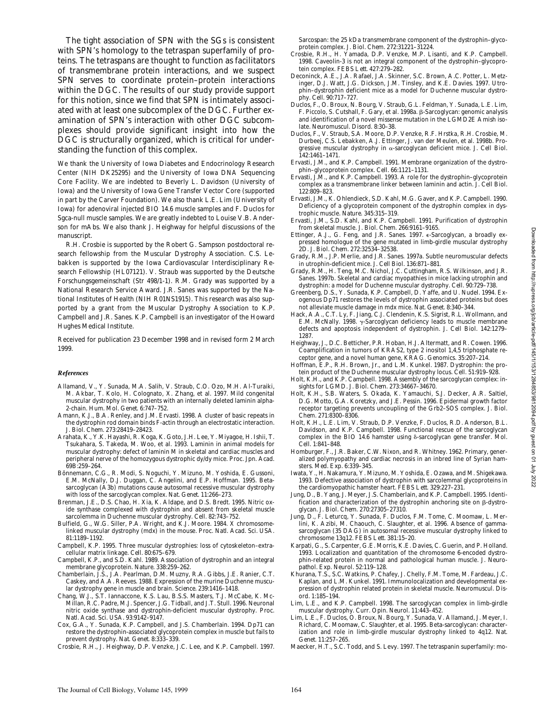The tight association of SPN with the SGs is consistent with SPN's homology to the tetraspan superfamily of proteins. The tetraspans are thought to function as facilitators of transmembrane protein interactions, and we suspect SPN serves to coordinate protein–protein interactions within the DGC. The results of our study provide support for this notion, since we find that SPN is intimately associated with at least one subcomplex of the DGC. Further examination of SPN's interaction with other DGC subcomplexes should provide significant insight into how the DGC is structurally organized, which is critical for understanding the function of this complex.

We thank the University of Iowa Diabetes and Endocrinology Research Center (NIH DK25295) and the University of Iowa DNA Sequencing Core Facility. We are indebted to Beverly L. Davidson (University of Iowa) and the University of Iowa Gene Transfer Vector Core (supported in part by the Carver Foundation). We also thank L.E. Lim (University of Iowa) for adenoviral injected BIO 14.6 muscle samples and F. Duclos for Sgca-null muscle samples. We are greatly indebted to Louise V.B. Anderson for mAbs. We also thank J. Heighway for helpful discussions of the manuscript.

R.H. Crosbie is supported by the Robert G. Sampson postdoctoral research fellowship from the Muscular Dystrophy Association. C.S. Lebakken is supported by the Iowa Cardiovascular Interdisciplinary Research Fellowship (HL07121). V. Straub was supported by the Deutsche Forschungsgemeinschaft (Str 498/1-1). R.M. Grady was supported by a National Research Service Award. J.R. Sanes was supported by the National Institutes of Health (NIH R01NS1915). This research was also supported by a grant from the Muscular Dystrophy Association to K.P. Campbell and J.R. Sanes. K.P. Campbell is an investigator of the Howard Hughes Medical Institute.

Received for publication 23 December 1998 and in revised form 2 March 1999.

#### *References*

- Allamand, V., Y. Sunada, M.A. Salih, V. Straub, C.O. Ozo, M.H. Al-Turaiki, M. Akbar, T. Kolo, H. Colognato, X. Zhang, et al. 1997. Mild congenital muscular dystrophy in two patients with an internally deleted laminin alpha-2-chain. *Hum. Mol. Genet*. 6:747–752.
- Amann, K.J., B.A. Renley, and J.M. Ervasti. 1998. A cluster of basic repeats in the dystrophin rod domain binds F-actin through an electrostatic interaction. *J. Biol. Chem*. 273:28419–28423.
- Arahata, K., Y.K. Hayashi, R. Koga, K. Goto, J.H. Lee, Y. Miyagoe, H. Ishii, T. Tsukahara, S. Takeda, M. Woo, et al. 1993. Laminin in animal models for muscular dystrophy: defect of laminin M in skeletal and cardiac muscles and peripheral nerve of the homozygous dystrophic *dy/dy* mice. *Proc. Jpn. Acad.* 69B:259–264.
- Bönnemann, C.G., R. Modi, S. Noguchi, Y. Mizuno, M. Yoshida, E. Gussoni, E.M. McNally, D.J. Duggan, C. Angelini, and E.P. Hoffman. 1995. Betasarcoglycan (A3b) mutations cause autosomal recessive muscular dystrophy with loss of the sarcoglycan complex. *Nat. Genet*. 11:266–273.
- Brenman, J.E., D.S. Chao, H. Xia, K. Aldape, and D.S. Bredt. 1995. Nitric oxide synthase complexed with dystrophin and absent from skeletal muscle sarcolemma in Duchenne muscular dystrophy. *Cell*. 82:743–752.
- Bulfield, G., W.G. Siller, P.A. Wright, and K.J. Moore. 1984. X chromosomelinked muscular dystrophy (*mdx*) in the mouse. *Proc. Natl. Acad. Sci. USA*. 81:1189–1192.
- Campbell, K.P. 1995. Three muscular dystrophies: loss of cytoskeleton–extracellular matrix linkage. *Cell*. 80:675–679.
- Campbell, K.P., and S.D. Kahl. 1989. Association of dystrophin and an integral membrane glycoprotein. *Nature*. 338:259–262.
- Chamberlain, J.S., J.A. Pearlman, D.M. Muzny, R.A. Gibbs, J.E. Ranier, C.T. Caskey, and A.A. Reeves. 1988. Expression of the murine Duchenne muscular dystrophy gene in muscle and brain. *Science*. 239:1416–1418.
- Chang, W.J., S.T. Iannaccone, K.S. Lau, B.S.S. Masters, T.J. McCabe, K. Mc-Millan, R.C. Padre, M.J. Spencer, J.G. Tidball, and J.T. Stull. 1996. Neuronal nitric oxide synthase and dystrophin-deficient muscular dystrophy. *Proc. Natl. Acad. Sci. USA*. 93:9142–9147.
- Cox, G.A., Y. Sunada, K.P. Campbell, and J.S. Chamberlain. 1994. Dp71 can restore the dystrophin-associated glycoprotein complex in muscle but fails to prevent dystrophy. *Nat. Genet*. 8:333–339.
- Crosbie, R.H., J. Heighway, D.P. Venzke, J.C. Lee, and K.P. Campbell. 1997.

Sarcospan: the 25 kDa transmembrane component of the dystrophin–glycoprotein complex. *J. Biol. Chem.* 272:31221–31224.

- Crosbie, R.H., H. Yamada, D.P. Venzke, M.P. Lisanti, and K.P. Campbell. 1998. Caveolin-3 is not an integral component of the dystrophin–glycoprotein complex. *FEBS Lett*. 427:279–282.
- Deconinck, A.E., J.A. Rafael, J.A. Skinner, S.C. Brown, A.C. Potter, L. Metzinger, D.J. Watt, J.G. Dickson, J.M. Tinsley, and K.E. Davies. 1997. Utrophin–dystrophin deficient mice as a model for Duchenne muscular dystrophy. *Cell*. 90:717–727.
- Duclos, F., O. Broux, N. Bourg, V. Straub, G.L. Feldman, Y. Sunada, L.E. Lim, F. Piccolo, S. Cutshall, F. Gary, et al. 1998a. β-Sarcoglycan: genomic analysis and identification of a novel missense mutation in the LGMD2E Amish isolate. *Neuromuscul. Disord.* 8:30–38.
- Duclos, F., V. Straub, S.A. Moore, D.P. Venzke, R.F. Hrstka, R.H. Crosbie, M. Durbeej, C.S. Lebakken, A.J. Ettinger, J. van der Meulen, et al. 1998b. Progressive muscular dystrophy in a-sarcoglycan deficient mice. *J. Cell Biol.* 142:1461–1471.
- Ervasti, J.M., and K.P. Campbell. 1991. Membrane organization of the dystrophin–glycoprotein complex. *Cell*. 66:1121–1131.
- Ervasti, J.M., and K.P. Campbell. 1993. A role for the dystrophin–glycoprotein complex as a transmembrane linker between laminin and actin. *J. Cell Biol.* 122:809–823.
- Ervasti, J.M., K. Ohlendieck, S.D. Kahl, M.G. Gaver, and K.P. Campbell. 1990. Deficiency of a glycoprotein component of the dystrophin complex in dystrophic muscle. *Nature*. 345:315–319.
- Ervasti, J.M., S.D. Kahl, and K.P. Campbell. 1991. Purification of dystrophin from skeletal muscle. *J. Biol. Chem.* 266:9161–9165.
- Ettinger, A.J., G. Feng, and J.R. Sanes. 1997. e-Sarcoglycan, a broadly expressed homologue of the gene mutated in limb-girdle muscular dystrophy 2D. *J. Biol. Chem.* 272:32534–32538.
- Grady, R.M., J.P. Merlie, and J.R. Sanes. 1997a. Subtle neuromuscular defects in utrophin-deficient mice. *J. Cell Biol.* 136:871–881.
- Grady, R.M., H. Teng, M.C. Nichol, J.C. Cuttingham, R.S. Wilkinson, and J.R. Sanes. 1997b. Skeletal and cardiac myopathies in mice lacking utrophin and dystrophin: a model for Duchenne muscular dystrophy. *Cell*. 90:729–738.
- Greenberg, D.S., Y. Sunada, K.P. Campbell, D. Yaffe, and U. Nudel. 1994. Exogenous Dp71 restores the levels of dystrophin associated proteins but does not alleviate muscle damage in *mdx* mice. *Nat. Genet*. 8:340–344.
- Hack, A.A., C.T. Ly, F. Jiang, C.J. Clendenin, K.S. Sigrist, R.L. Wollmann, and E.M. McNally. 1998.  $\gamma$ -Sarcoglycan deficiency leads to muscle membrane defects and apoptosis independent of dystrophin. *J. Cell Biol*. 142:1279– 1287.
- Heighway, J., D.C. Betticher, P.R. Hoban, H.J. Altermatt, and R. Cowen. 1996. Coamplification in tumors of KRAS2, type 2 inositol 1,4,5 triphosphate receptor gene, and a novel human gene, KRAG. *Genomics*. 35:207–214.
- Hoffman, E.P., R.H. Brown, Jr., and L.M. Kunkel. 1987. Dystrophin: the protein product of the Duchenne muscular dystrophy locus. *Cell*. 51:919–928.
- Holt, K.H., and K.P. Campbell. 1998. Assembly of the sarcoglycan complex: insights for LGMD. *J. Biol. Chem*. 273:34667–34670.
- Holt, K.H., S.B. Waters, S. Okada, K. Yamauchi, S.J. Decker, A.R. Saltiel, D.G. Motto, G.A. Koretzky, and J.E. Pessin. 1996. Epidermal growth factor receptor targeting prevents uncoupling of the Grb2–SOS complex. *J. Biol. Chem*. 271:8300–8306.
- Holt, K.H., L.E. Lim, V. Straub, D.P. Venzke, F. Duclos, R.D. Anderson, B.L. Davidson, and K.P. Campbell. 1998. Functional rescue of the sarcoglycan complex in the BIO 14.6 hamster using  $\delta$ -sarcoglycan gene transfer. Mol. *Cell*. 1:841–848.
- Homburger, F., J.R. Baker, C.W. Nixon, and R. Whitney. 1962. Primary, generalized polymyopathy and cardiac necrosis in an inbred line of Syrian hamsters. *Med. Exp.* 6:339–345.
- Iwata, Y., H. Nakamura, Y. Mizuno, M. Yoshida, E. Ozawa, and M. Shigekawa. 1993. Defective association of dystrophin with sarcolemmal glycoproteins in the cardiomyopathic hamster heart. *FEBS Lett*. 329:227–231.
- Jung, D., B. Yang, J. Meyer, J.S. Chamberlain, and K.P. Campbell. 1995. Identification and characterization of the dystrophin anchoring site on  $\beta$ -dystroglycan. *J. Biol. Chem.* 270:27305–27310.
- Jung, D., F. Leturcq, Y. Sunada, F. Duclos, F.M. Tome, C. Moomaw, L. Merlini, K. Azibi, M. Chaouch, C. Slaughter, et al. 1996. Absence of gammasarcoglycan (35 DAG) in autosomal recessive muscular dystrophy linked to chromosome 13q12. *FEBS Lett*. 381:15–20.
- Karpati, G., S. Carpenter, G.E. Morris, K.E. Davies, C. Guerin, and P. Holland. 1993. Localization and quantitation of the chromosome 6-encoded dystrophin-related protein in normal and pathological human muscle. *J. Neuropathol. Exp. Neurol.* 52:119–128.
- Khurana, T.S., S.C. Watkins, P. Chafey, J. Chelly, F.M. Tome, M. Fardeau, J.C. Kaplan, and L.M. Kunkel. 1991. Immunolocalization and developmental expression of dystrophin related protein in skeletal muscle. *Neuromuscul. Disord*. 1:185–194.
- Lim, L.E., and K.P. Campbell. 1998. The sarcoglycan complex in limb-girdle muscular dystrophy. *Curr. Opin. Neurol.* 11:443–452.
- Lim, L.E., F. Duclos, O. Broux, N. Bourg, Y. Sunada, V. Allamand, J. Meyer, I. Richard, C. Moomaw, C. Slaughter, et al. 1995. Beta-sarcoglycan: characterization and role in limb-girdle muscular dystrophy linked to 4q12. *Nat. Genet*. 11:257–265.
- Maecker, H.T., S.C. Todd, and S. Levy. 1997. The tetraspanin superfamily: mo-